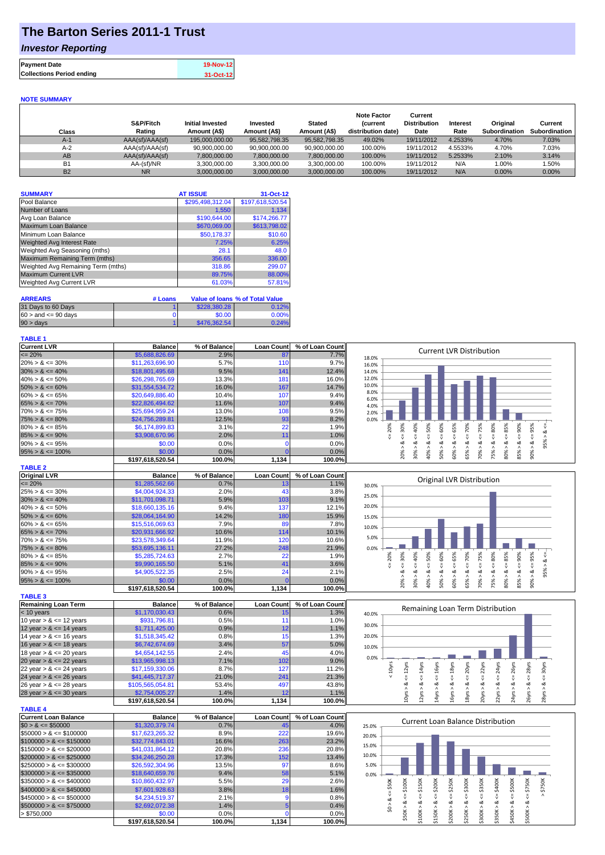## **The Barton Series 2011-1 Trust**

### *Investor Reporting*

| <b>Payment Date</b>              | 19-Nov-12 |
|----------------------------------|-----------|
| <b>Collections Period ending</b> | 31-Oct-12 |

#### **NOTE SUMMARY**

| Class          | S&P/Fitch<br>Rating | <b>Initial Invested</b><br>Amount (A\$) | Invested<br>Amount (A\$) | <b>Stated</b><br>Amount (A\$) | <b>Note Factor</b><br><b>Current</b><br>distribution date) | Current<br><b>Distribution</b><br>Date | Interest<br>Rate | Original<br>Subordination | Current<br>Subordination |
|----------------|---------------------|-----------------------------------------|--------------------------|-------------------------------|------------------------------------------------------------|----------------------------------------|------------------|---------------------------|--------------------------|
| $A-1$          | AAA(sf)/AAA(sf)     | 195,000,000,00                          | 95,582,798.35            | 95.582.798.35                 | 49.02%                                                     | 19/11/2012                             | 4.2533%          | 4.70%                     | 7.03%                    |
| $A-2$          | AAA(sf)/AAA(sf)     | 90.900.000.00                           | 90.900.000.00            | 90.900.000.00                 | 100.00%                                                    | 19/11/2012                             | 4.5533%          | 4.70%                     | 7.03%                    |
| AB             | AAA(sf)/AAA(sf)     | 7,800,000.00                            | 7,800,000.00             | 7,800,000.00                  | 100.00%                                                    | 19/11/2012                             | 5.2533%          | 2.10%                     | 3.14%                    |
| <b>B1</b>      | AA-(sf)/NR          | 3,300,000.00                            | 3.300.000.00             | 3.300.000.00                  | 100.00%                                                    | 19/11/2012                             | N/A              | $0.00\%$                  | $.50\%$                  |
| B <sub>2</sub> | <b>NR</b>           | 3.000.000.00                            | 3.000.000.00             | 3.000.000.00                  | 100.00%                                                    | 19/11/2012                             | N/A              | $0.00\%$                  | $0.00\%$                 |

| <b>SUMMARY</b>                     | <b>AT ISSUE</b>  | 31-Oct-12        |
|------------------------------------|------------------|------------------|
| Pool Balance                       | \$295,498,312.04 | \$197,618,520.54 |
| Number of Loans                    | 1,550            | 1.134            |
| Avg Loan Balance                   | \$190,644.00     | \$174.266.77     |
| Maximum Loan Balance               | \$670,069.00     | \$613,798.02     |
| Minimum Loan Balance               | \$50,178.37      | \$10.60          |
| <b>Weighted Avg Interest Rate</b>  | 7.25%            | 6.25%            |
| Weighted Avg Seasoning (mths)      | 28.1             | 48.0             |
| Maximum Remaining Term (mths)      | 356.65           | 336.00           |
| Weighted Avg Remaining Term (mths) | 318.86           | 299.07           |
| <b>Maximum Current LVR</b>         | 89.75%           | 88.00%           |
| Weighted Avg Current LVR           | 61.03%           | 57.81%           |

| <b>ARREARS</b>            | # Loans |              | Value of Ioans % of Total Value |
|---------------------------|---------|--------------|---------------------------------|
| 31 Days to 60 Days        |         | \$228,380.28 | 0.12%                           |
| $60 >$ and $\leq 90$ davs |         | \$0.00       | 0.00%                           |
| $90 > \text{days}$        |         | \$476,362.54 | 0.24%                           |

### **TABLE 1**

| <b>Current LVR</b>   | <b>Balance</b>   | % of Balance | <b>Loan Count</b> | % of Loan Count | <b>Current LVR Distribution</b>                                         |
|----------------------|------------------|--------------|-------------------|-----------------|-------------------------------------------------------------------------|
| $\leq$ 20%           | \$5,688,826.69   | 2.9%         | 87                | 7.7%            | 18.0%                                                                   |
| $20\% > 8 \le 30\%$  | \$11,263,696.90  | 5.7%         | 110               | 9.7%            | 16.0%                                                                   |
| $30\% > 8 \le 40\%$  | \$18,801,495.68  | 9.5%         | 141               | 12.4%           | 14.0%                                                                   |
| $40\% > 8 \le 50\%$  | \$26,298,765.69  | 13.3%        | 181               | 16.0%           | 12.0%                                                                   |
| $50\% > 8 \le 60\%$  | \$31,554,534,72  | 16.0%        | 167               | 14.7%           | 10.0%                                                                   |
| $60\% > 8 \le 65\%$  | \$20,649,886.40  | 10.4%        | 107               | 9.4%            | 8.0%<br>6.0%                                                            |
| $65\% > 8 \le 70\%$  | \$22,826,494.62  | 11.6%        | 107               | 9.4%            | 4.0%                                                                    |
| $70\% > 8 \le 75\%$  | \$25,694,959.24  | 13.0%        | 108               | 9.5%            | 2.0%                                                                    |
| $75\% > 8 \le 80\%$  | \$24,756,289.81  | 12.5%        | 93                | 8.2%            | 0.0%                                                                    |
| $80\% > 8 \le 85\%$  | \$6,174,899.83   | 3.1%         | 22                | 1.9%            | 20%<br>℅<br>8o<br>∝<br>χo<br>Š<br>Ĥ,<br>o                               |
| $85\% > 8 \le 90\%$  | \$3,908,670.96   | 2.0%         | 11                | 1.0%            |                                                                         |
| $90\% > 8 \le 95\%$  | \$0.00           | 0.0%         |                   | 0.0%            | ∼                                                                       |
| $95\% > 8 \le 100\%$ | \$0.00           | $0.0\%$      |                   | 0.0%            | ఠ<br>ఠ<br>ဢၳ<br>ŝ<br>ិ<br>ŝ<br>ŝ                                        |
|                      | \$197,618,520.54 | 100.0%       | 1,134             | 100.0%          | ıñ<br>$\overline{0}$<br>$\infty$<br>$\sim$<br>$\infty$<br>∼<br>$\sigma$ |
| <b>TABLE O</b>       |                  |              |                   |                 |                                                                         |

| $I$ $I$ $I$ $I$ $I$ $I$ $I$ $I$ $I$ $I$ $I$ $I$ |                 |              |                   |                 |       |           |    |   |    |         |        |         |                           |     |        |   |  |
|-------------------------------------------------|-----------------|--------------|-------------------|-----------------|-------|-----------|----|---|----|---------|--------|---------|---------------------------|-----|--------|---|--|
| Original LVR                                    | <b>Balance</b>  | % of Balance | <b>Loan Count</b> | % of Loan Count |       |           |    |   |    |         |        |         | Original LVR Distribution |     |        |   |  |
| $\leq$ 20%                                      | \$1,285,562.66  | 0.7%         |                   | 1.1%            | 30.0% |           |    |   |    |         |        |         |                           |     |        |   |  |
| $25\% > 8 \le 30\%$                             | \$4,004,924.33  | 2.0%         | 43                | 3.8%            | 25.0% |           |    |   |    |         |        |         |                           |     |        |   |  |
| $30\% > 8 \le 40\%$                             | \$11,701,098.71 | 5.9%         | 103               | 9.1%            |       |           |    |   |    |         |        |         |                           |     |        |   |  |
| $40\% > 8 \le 50\%$                             | \$18,660,135,16 | 9.4%         | 137               | 12.1%           | 20.0% |           |    |   |    |         |        |         |                           |     |        |   |  |
| $50\% > 8 \le 60\%$                             | \$28,064,164.90 | 14.2%        | 180               | 15.9%           | 15.0% |           |    |   |    |         |        |         |                           |     |        |   |  |
| $60\% > 8 \le 65\%$                             | \$15,516,069.63 | 7.9%         | 89                | 7.8%            | 10.0% |           |    |   |    |         |        |         |                           |     |        |   |  |
| $65\% > 8 \le 70\%$                             | \$20,931,666.92 | 10.6%        | 114               | 10.1%           |       |           |    |   |    |         |        |         |                           |     |        |   |  |
| $70\% > 8 \le 75\%$                             | \$23,578,349.64 | 11.9%        | 120               | 10.6%           | 5.0%  |           |    |   |    |         |        |         |                           |     |        |   |  |
| $75\% > 8 \le 80\%$                             | \$53,695,136.11 | 27.2%        | 248               | 21.9%           | 0.0%  |           |    |   |    |         |        |         |                           |     |        |   |  |
| $80\% > 8 \le 85\%$                             | \$5,285,724.63  | 2.7%         | 22                | 1.9%            |       | ≫<br>ଛ    | Ò  | 5 | Š. | X<br>Ĥ, | ℅<br>Ŕ | ℅<br>Ū. | 80%                       | 85% | ℅<br>Ř | æ |  |
| $85\% > 8 \le 90\%$                             | \$9,990,165.50  | 5.1%         | 41                | 3.6%            |       |           |    |   |    |         |        |         |                           |     |        |   |  |
| $90\% > 8 \le 95\%$                             | \$4,905,522.35  | 2.5%         | 241               | 2.1%            |       | œ         |    |   |    | ∝       | ∞      | ∞       |                           |     |        |   |  |
| $95\% > 8 \le 100\%$                            | \$0.00          | 0.0%         |                   | 0.0%            |       |           | පි |   |    | š       | ≍      |         |                           |     |        |   |  |
|                                                 | 0.07000000000   | 400.001      | $\overline{A}$    | 400.00/         |       | $\bar{N}$ |    |   |    |         |        |         |                           |     | ∞      |   |  |

| <b>TABLE 3</b>             |                  |              |                   |                 |
|----------------------------|------------------|--------------|-------------------|-----------------|
| <b>Remaining Loan Term</b> | <b>Balance</b>   | % of Balance | <b>Loan Count</b> | % of Loan Count |
| $<$ 10 years               | \$1,170,030.43   | 0.6%         | 15                | 1.3%            |
| 10 year $> 8 \le 12$ years | \$931,796.81     | 0.5%         | 11                | 1.0%            |
| 12 year $> 8 \le 14$ years | \$1,711,425.00   | 0.9%         | 12                | 1.1%            |
| 14 year $> 8 \le 16$ years | \$1,518,345.42   | 0.8%         | 15                | 1.3%            |
| 16 year $> 8 \le 18$ years | \$6,742,674.69   | 3.4%         | 57                | 5.0%            |
| 18 year $> 8 \le 20$ years | \$4,654,142.55   | 2.4%         | 45                | 4.0%            |
| 20 year $> 8 \le 22$ years | \$13,965,998.13  | 7.1%         | 102               | 9.0%            |
| 22 year $> 8 \le 24$ years | \$17,159,330.06  | 8.7%         | 127               | 11.2%           |
| 24 year $> 8 \le 26$ years | \$41,445,717.37  | 21.0%        | 241               | 21.3%           |
| 26 year $> 8 \le 28$ years | \$105,565,054.81 | 53.4%        | 497               | 43.8%           |
| 28 year $> 8 \le 30$ years | \$2,754,005.27   | 1.4%         | 12                | 1.1%            |
|                            | \$197,618,520.54 | 100.0%       | 1.134             | 100.0%          |

**\$197,618,520.54 100.0% 1,134 100.0%**

| <b>TABLE 4</b>               |                  |              |                   |                 |
|------------------------------|------------------|--------------|-------------------|-----------------|
| <b>Current Loan Balance</b>  | <b>Balance</b>   | % of Balance | <b>Loan Count</b> | % of Loan Count |
| $$0 > 8 \leq $50000$         | \$1,320,379.74   | 0.7%         | 45                | 4.0%            |
| $$50000 > 8 \leq $100000$    | \$17.623.265.32  | 8.9%         | 222               | 19.6%           |
| $$100000 > 8 \leq $150000$   | \$32,774,843,01  | 16.6%        | 263               | 23.2%           |
| $$150000 > 8 \leq $200000$   | \$41.031.864.12  | 20.8%        | 236               | 20.8%           |
| $$200000 > 8 \leq $250000$   | \$34,246,250,28  | 17.3%        | 152               | 13.4%           |
| $$250000 > 8 \leq $300000$   | \$26,592,304.96  | 13.5%        | 97                | 8.6%            |
| $$300000 > 8 \leq $350000$   | \$18,640,659.76  | 9.4%         | 58                | 5.1%            |
| $\$350000 > 8 \leq \$400000$ | \$10,860,432.97  | 5.5%         | 29                | 2.6%            |
| $$400000 > 8 \leq $450000$   | \$7,601,928.63   | 3.8%         | 18                | 1.6%            |
| $$450000 > 8 \leq $500000$   | \$4,234,519,37   | 2.1%         | 9                 | 0.8%            |
| $$500000 > 8 \leq $750000$   | \$2,692,072,38   | 1.4%         | 5                 | 0.4%            |
| > \$750.000                  | \$0.00           | $0.0\%$      |                   | $0.0\%$         |
|                              | \$197.618.520.54 | 100.0%       | 1.134             | 100.0%          |